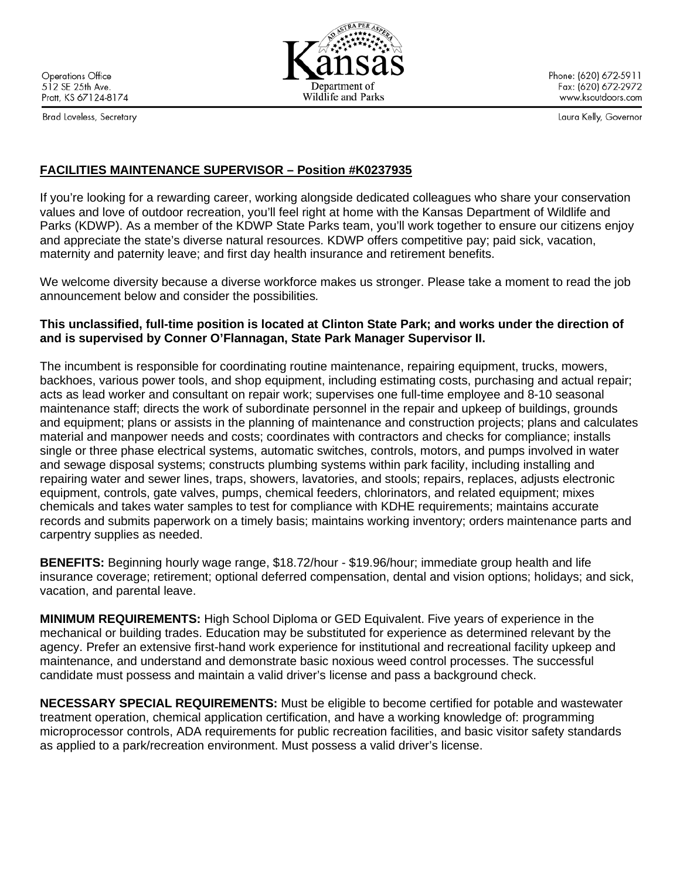**Operations Office** 512 SE 25th Ave. Pratt, KS 67124-8174

Brad Loveless, Secretary

Phone: (620) 672-5911 Fax: (620) 672-2972 www.ksoutdoors.com

Laura Kelly, Governor

# **FACILITIES MAINTENANCE SUPERVISOR – Position #K0237935**

If you're looking for a rewarding career, working alongside dedicated colleagues who share your conservation values and love of outdoor recreation, you'll feel right at home with the Kansas Department of Wildlife and Parks (KDWP). As a member of the KDWP State Parks team, you'll work together to ensure our citizens enjoy and appreciate the state's diverse natural resources. KDWP offers competitive pay; paid sick, vacation, maternity and paternity leave; and first day health insurance and retirement benefits.

We welcome diversity because a diverse workforce makes us stronger. Please take a moment to read the job announcement below and consider the possibilities*.* 

### **This unclassified, full-time position is located at Clinton State Park; and works under the direction of and is supervised by Conner O'Flannagan, State Park Manager Supervisor II.**

The incumbent is responsible for coordinating routine maintenance, repairing equipment, trucks, mowers, backhoes, various power tools, and shop equipment, including estimating costs, purchasing and actual repair; acts as lead worker and consultant on repair work; supervises one full-time employee and 8-10 seasonal maintenance staff; directs the work of subordinate personnel in the repair and upkeep of buildings, grounds and equipment; plans or assists in the planning of maintenance and construction projects; plans and calculates material and manpower needs and costs; coordinates with contractors and checks for compliance; installs single or three phase electrical systems, automatic switches, controls, motors, and pumps involved in water and sewage disposal systems; constructs plumbing systems within park facility, including installing and repairing water and sewer lines, traps, showers, lavatories, and stools; repairs, replaces, adjusts electronic equipment, controls, gate valves, pumps, chemical feeders, chlorinators, and related equipment; mixes chemicals and takes water samples to test for compliance with KDHE requirements; maintains accurate records and submits paperwork on a timely basis; maintains working inventory; orders maintenance parts and carpentry supplies as needed.

**BENEFITS:** Beginning hourly wage range, \$18.72/hour - \$19.96/hour; immediate group health and life insurance coverage; retirement; optional deferred compensation, dental and vision options; holidays; and sick, vacation, and parental leave.

**MINIMUM REQUIREMENTS:** High School Diploma or GED Equivalent. Five years of experience in the mechanical or building trades. Education may be substituted for experience as determined relevant by the agency. Prefer an extensive first-hand work experience for institutional and recreational facility upkeep and maintenance, and understand and demonstrate basic noxious weed control processes. The successful candidate must possess and maintain a valid driver's license and pass a background check.

**NECESSARY SPECIAL REQUIREMENTS:** Must be eligible to become certified for potable and wastewater treatment operation, chemical application certification, and have a working knowledge of: programming microprocessor controls, ADA requirements for public recreation facilities, and basic visitor safety standards as applied to a park/recreation environment. Must possess a valid driver's license.